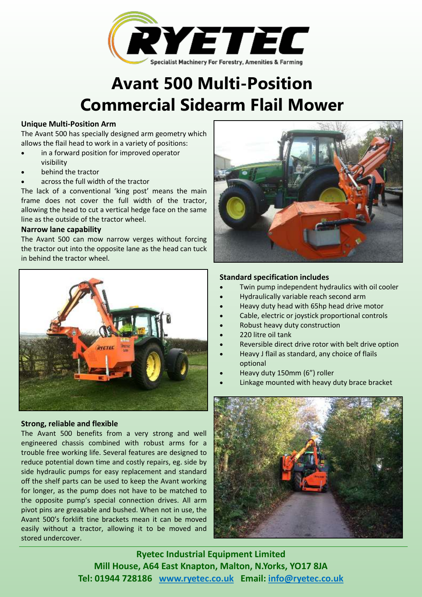

# **Avant 500 Multi-Position Commercial Sidearm Flail Mower**

### **Unique Multi-Position Arm**

The Avant 500 has specially designed arm geometry which allows the flail head to work in a variety of positions:

- in a forward position for improved operator visibility
- � behind the tractor
- � across the full width of the tractor

The lack of a conventional 'king post' means the main frame does not cover the full width of the tractor, allowing the head to cut a vertical hedge face on the same line as the outside of the tractor wheel.

### **Narrow lane capability**

The Avant 500 can mow narrow verges without forcing the tractor out into the opposite lane as the head can tuck in behind the tractor wheel.



## **Strong, reliable and flexible**

The Avant 500 benefits from a very strong and well engineered chassis combined with robust arms for a trouble free working life. Several features are designed to reduce potential down time and costly repairs, eg. side by side hydraulic pumps for easy replacement and standard off the shelf parts can be used to keep the Avant working for longer, as the pump does not have to be matched to the opposite pump's special connection drives. All arm pivot pins are greasable and bushed. When not in use, the Avant 500's forklift tine brackets mean it can be moved easily without a tractor, allowing it to be moved and stored undercover.



## **Standard specification includes**

- Twin pump independent hydraulics with oil cooler
- � Hydraulically variable reach second arm
- � Heavy duty head with 65hp head drive motor
- Cable, electric or joystick proportional controls
- Robust heavy duty construction
- � 220 litre oil tank
- � Reversible direct drive rotor with belt drive option
- � Heavy J flail as standard, any choice of flails optional
- Heavy duty 150mm (6") roller
- � Linkage mounted with heavy duty brace bracket



**Ryetec Industrial Equipment Limited Mill House, A64 East Knapton, Malton, N.Yorks, YO17 8JA Tel: 01944 728186 www.ryetec.co.uk Email: info@ryetec.co.uk**